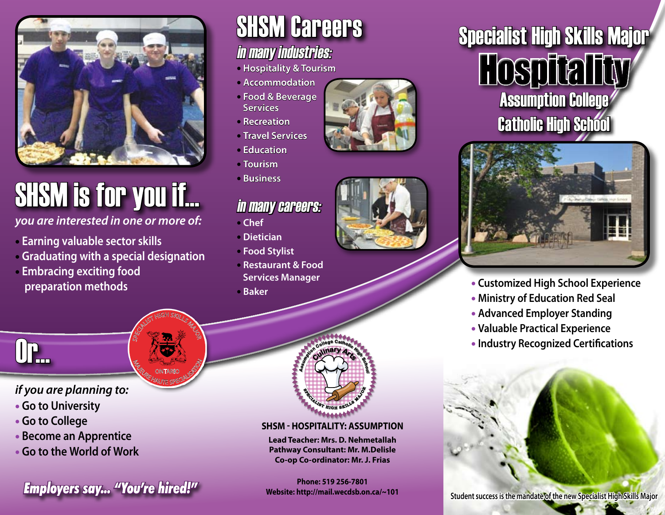

# SHSM is for you if...

*you are interested in one or more of:* 

- • **Earning valuable sector skills**
- • **Graduating with a special designation**

SPECIALIST HIGH SKILLS MAJOR

**M<sub>AGE CONTARIO SPICIALIS**</sub> ONTARIO

• **Embracing exciting food preparation methods**

## **SHSM Careers**

#### in many industries:

- **Hospitality & Tourism**
- **Accommodation**
- **Food & Beverage Services**
- **Recreation**
- **Travel Services**
- **Education**  • **Tourism**
- **Business**

### in many careers:

- **Chef**
- **Dietician**
- **Food Stylist**
- **Restaurant & Food Services Manager**
- **Baker**





### Specialist High Skills Major **Hospitality Assumption College Catholic High School**



- **Customized High School Experience**
- **Ministry of Education Red Seal**
- **Advanced Employer Standing**
- **Valuable Practical Experience**
- **Industry Recognized Certifications**

Or...

#### *if you are planning to:*

- • **Go to University**
- • **Go to College**
- • **Become an Apprentice**
- • **Go to the World of Work**

**FINCHE: 519 250-7601**<br>Student success is the mandate of the new Specialist High Skills Major

**C**<br>**ECIL SP RE <sup>C</sup>ulina<sup>r</sup><sup>y</sup> <sup>A</sup><sup>r</sup>t<sup>s</sup> College Catholic Responses** 

#### **SHSM - Hospitality: Assumption**

**Lead Teacher: Mrs. D. Nehmetallah Pathway Consultant: Mr. M.Delisle Co-op Co-ordinator: Mr. J. Frias**

**Phone: 519 256-7801 Website: http://mail.wecdsb.on.ca/~101**